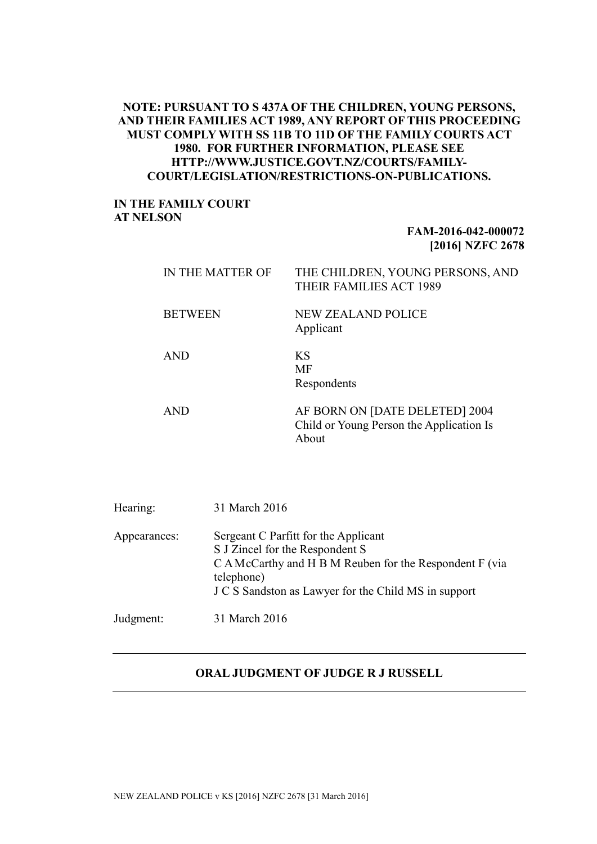## **NOTE: PURSUANT TO S 437A OF THE CHILDREN, YOUNG PERSONS, AND THEIR FAMILIES ACT 1989, ANY REPORT OF THIS PROCEEDING MUST COMPLY WITH SS 11B TO 11D OF THE FAMILY COURTS ACT 1980. FOR FURTHER INFORMATION, PLEASE SEE HTTP://WWW.JUSTICE.GOVT.NZ/COURTS/FAMILY-COURT/LEGISLATION/RESTRICTIONS-ON-PUBLICATIONS.**

## **IN THE FAMILY COURT AT NELSON**

## **FAM-2016-042-000072 [2016] NZFC 2678**

| IN THE MATTER OF | THE CHILDREN, YOUNG PERSONS, AND<br>THEIR FAMILIES ACT 1989                         |
|------------------|-------------------------------------------------------------------------------------|
| <b>BETWEEN</b>   | <b>NEW ZEALAND POLICE</b><br>Applicant                                              |
| <b>AND</b>       | KS<br>MF<br>Respondents                                                             |
| <b>AND</b>       | AF BORN ON [DATE DELETED] 2004<br>Child or Young Person the Application Is<br>About |

| Hearing:     | 31 March 2016                                                                                                                                                                                            |
|--------------|----------------------------------------------------------------------------------------------------------------------------------------------------------------------------------------------------------|
| Appearances: | Sergeant C Parfitt for the Applicant<br>S J Zincel for the Respondent S<br>C A McCarthy and H B M Reuben for the Respondent F (via<br>telephone)<br>J C S Sandston as Lawyer for the Child MS in support |
| Judgment:    | 31 March 2016                                                                                                                                                                                            |

## **ORAL JUDGMENT OF JUDGE R J RUSSELL**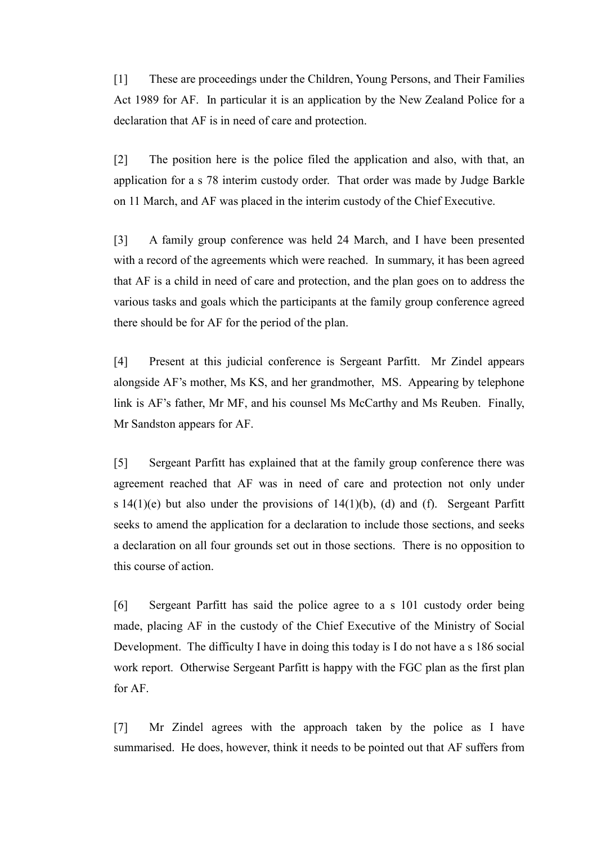[1] These are proceedings under the Children, Young Persons, and Their Families Act 1989 for AF. In particular it is an application by the New Zealand Police for a declaration that AF is in need of care and protection.

[2] The position here is the police filed the application and also, with that, an application for a s 78 interim custody order. That order was made by Judge Barkle on 11 March, and AF was placed in the interim custody of the Chief Executive.

[3] A family group conference was held 24 March, and I have been presented with a record of the agreements which were reached. In summary, it has been agreed that AF is a child in need of care and protection, and the plan goes on to address the various tasks and goals which the participants at the family group conference agreed there should be for AF for the period of the plan.

[4] Present at this judicial conference is Sergeant Parfitt. Mr Zindel appears alongside AF's mother, Ms KS, and her grandmother, MS. Appearing by telephone link is AF's father, Mr MF, and his counsel Ms McCarthy and Ms Reuben. Finally, Mr Sandston appears for AF.

[5] Sergeant Parfitt has explained that at the family group conference there was agreement reached that AF was in need of care and protection not only under s  $14(1)(e)$  but also under the provisions of  $14(1)(b)$ , (d) and (f). Sergeant Parfitt seeks to amend the application for a declaration to include those sections, and seeks a declaration on all four grounds set out in those sections. There is no opposition to this course of action.

[6] Sergeant Parfitt has said the police agree to a s 101 custody order being made, placing AF in the custody of the Chief Executive of the Ministry of Social Development. The difficulty I have in doing this today is I do not have a s 186 social work report. Otherwise Sergeant Parfitt is happy with the FGC plan as the first plan for AF.

[7] Mr Zindel agrees with the approach taken by the police as I have summarised. He does, however, think it needs to be pointed out that AF suffers from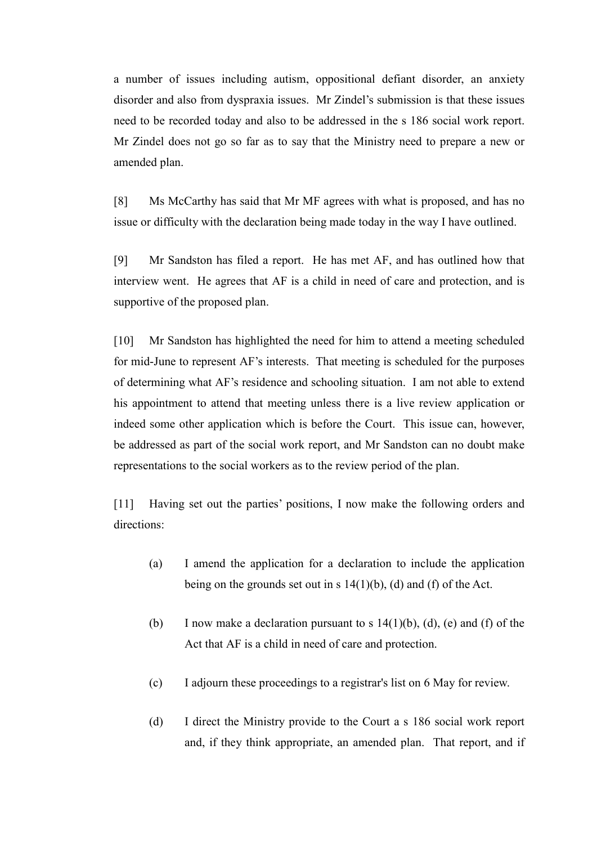a number of issues including autism, oppositional defiant disorder, an anxiety disorder and also from dyspraxia issues. Mr Zindel's submission is that these issues need to be recorded today and also to be addressed in the s 186 social work report. Mr Zindel does not go so far as to say that the Ministry need to prepare a new or amended plan.

[8] Ms McCarthy has said that Mr MF agrees with what is proposed, and has no issue or difficulty with the declaration being made today in the way I have outlined.

[9] Mr Sandston has filed a report. He has met AF, and has outlined how that interview went. He agrees that AF is a child in need of care and protection, and is supportive of the proposed plan.

[10] Mr Sandston has highlighted the need for him to attend a meeting scheduled for mid-June to represent AF's interests. That meeting is scheduled for the purposes of determining what AF's residence and schooling situation. I am not able to extend his appointment to attend that meeting unless there is a live review application or indeed some other application which is before the Court. This issue can, however, be addressed as part of the social work report, and Mr Sandston can no doubt make representations to the social workers as to the review period of the plan.

[11] Having set out the parties' positions, I now make the following orders and directions:

- (a) I amend the application for a declaration to include the application being on the grounds set out in s  $14(1)(b)$ , (d) and (f) of the Act.
- (b) I now make a declaration pursuant to s  $14(1)(b)$ , (d), (e) and (f) of the Act that AF is a child in need of care and protection.
- (c) I adjourn these proceedings to a registrar's list on 6 May for review.
- (d) I direct the Ministry provide to the Court a s 186 social work report and, if they think appropriate, an amended plan. That report, and if